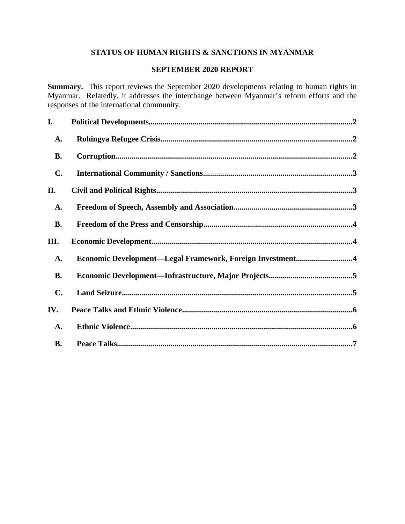# **STATUS OF HUMAN RIGHTS & SANCTIONS IN MYANMAR**

# **SEPTEMBER 2020 REPORT**

**Summary.** This report reviews the September 2020 developments relating to human rights in Myanmar. Relatedly, it addresses the interchange between Myanmar's reform efforts and the responses of the international community.

| I.             |                                                           |  |
|----------------|-----------------------------------------------------------|--|
| <b>A.</b>      |                                                           |  |
| <b>B.</b>      |                                                           |  |
| $\mathbf{C}$ . |                                                           |  |
| II.            |                                                           |  |
| <b>A.</b>      |                                                           |  |
| <b>B.</b>      |                                                           |  |
| III.           |                                                           |  |
| <b>A.</b>      | Economic Development-Legal Framework, Foreign Investment4 |  |
| <b>B.</b>      |                                                           |  |
| $\mathbf{C}$ . |                                                           |  |
| IV.            |                                                           |  |
| <b>A.</b>      |                                                           |  |
| <b>B.</b>      |                                                           |  |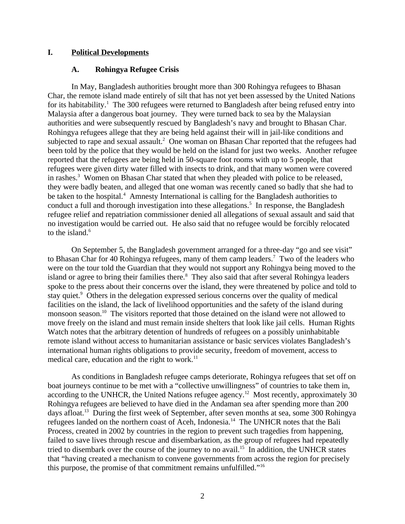#### **I. Political Developments**

#### <span id="page-1-1"></span><span id="page-1-0"></span>**A. Rohingya Refugee Crisis**

In May, Bangladesh authorities brought more than 300 Rohingya refugees to Bhasan Char, the remote island made entirely of silt that has not yet been assessed by the United Nations for its habitability.<sup>1</sup> The 300 refugees were returned to Bangladesh after being refused entry into Malaysia after a dangerous boat journey. They were turned back to sea by the Malaysian authorities and were subsequently rescued by Bangladesh's navy and brought to Bhasan Char. Rohingya refugees allege that they are being held against their will in jail-like conditions and subjected to rape and sexual assault.<sup>2</sup> One woman on Bhasan Char reported that the refugees had been told by the police that they would be held on the island for just two weeks. Another refugee reported that the refugees are being held in 50-square foot rooms with up to 5 people, that refugees were given dirty water filled with insects to drink, and that many women were covered in rashes.<sup>3</sup> Women on Bhasan Char stated that when they pleaded with police to be released, they were badly beaten, and alleged that one woman was recently caned so badly that she had to be taken to the hospital.<sup>4</sup> Amnesty International is calling for the Bangladesh authorities to conduct a full and thorough investigation into these allegations.<sup>5</sup> In response, the Bangladesh refugee relief and repatriation commissioner denied all allegations of sexual assault and said that no investigation would be carried out. He also said that no refugee would be forcibly relocated to the island.<sup>6</sup>

On September 5, the Bangladesh government arranged for a three-day "go and see visit" to Bhasan Char for 40 Rohingya refugees, many of them camp leaders.<sup>7</sup> Two of the leaders who were on the tour told the Guardian that they would not support any Rohingya being moved to the island or agree to bring their families there. $8$  They also said that after several Rohingya leaders spoke to the press about their concerns over the island, they were threatened by police and told to stay quiet.<sup>9</sup> Others in the delegation expressed serious concerns over the quality of medical facilities on the island, the lack of livelihood opportunities and the safety of the island during monsoon season.<sup>10</sup> The visitors reported that those detained on the island were not allowed to move freely on the island and must remain inside shelters that look like jail cells. Human Rights Watch notes that the arbitrary detention of hundreds of refugees on a possibly uninhabitable remote island without access to humanitarian assistance or basic services violates Bangladesh's international human rights obligations to provide security, freedom of movement, access to medical care, education and the right to work. $^{11}$ 

As conditions in Bangladesh refugee camps deteriorate, Rohingya refugees that set off on boat journeys continue to be met with a "collective unwillingness" of countries to take them in, according to the UNHCR, the United Nations refugee agency.<sup>12</sup> Most recently, approximately 30 Rohingya refugees are believed to have died in the Andaman sea after spending more than 200 days afloat.<sup>13</sup> During the first week of September, after seven months at sea, some 300 Rohingya refugees landed on the northern coast of Aceh, Indonesia.<sup>14</sup> The UNHCR notes that the Bali Process, created in 2002 by countries in the region to prevent such tragedies from happening, failed to save lives through rescue and disembarkation, as the group of refugees had repeatedly tried to disembark over the course of the journey to no avail.<sup>15</sup> In addition, the UNHCR states that "having created a mechanism to convene governments from across the region for precisely this purpose, the promise of that commitment remains unfulfilled."<sup>16</sup>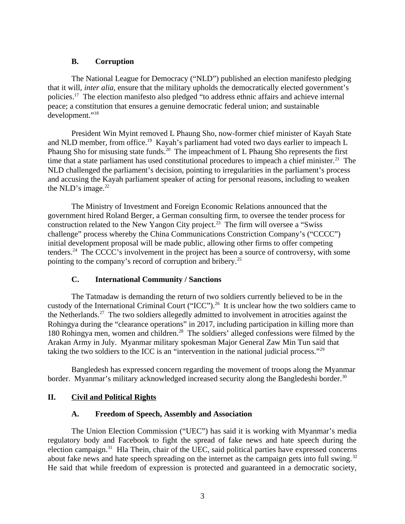#### <span id="page-2-3"></span>**B. Corruption**

The National League for Democracy ("NLD") published an election manifesto pledging that it will, *inter alia*, ensure that the military upholds the democratically elected government's policies.<sup>17</sup> The election manifesto also pledged "to address ethnic affairs and achieve internal peace; a constitution that ensures a genuine democratic federal union; and sustainable development."<sup>18</sup>

President Win Myint removed L Phaung Sho, now-former chief minister of Kayah State and NLD member, from office.<sup>19</sup> Kayah's parliament had voted two days earlier to impeach L Phaung Sho for misusing state funds.<sup>20</sup> The impeachment of L Phaung Sho represents the first time that a state parliament has used constitutional procedures to impeach a chief minister.<sup>21</sup> The NLD challenged the parliament's decision, pointing to irregularities in the parliament's process and accusing the Kayah parliament speaker of acting for personal reasons, including to weaken the NLD's image. $22$ 

The Ministry of Investment and Foreign Economic Relations announced that the government hired Roland Berger, a German consulting firm, to oversee the tender process for construction related to the New Yangon City project.<sup>23</sup> The firm will oversee a "Swiss" challenge" process whereby the China Communications Constriction Company's ("CCCC") initial development proposal will be made public, allowing other firms to offer competing tenders.<sup>24</sup> The CCCC's involvement in the project has been a source of controversy, with some pointing to the company's record of corruption and bribery.<sup>25</sup>

# <span id="page-2-2"></span>**C. International Community / Sanctions**

The Tatmadaw is demanding the return of two soldiers currently believed to be in the custody of the International Criminal Court ("ICC").<sup>26</sup> It is unclear how the two soldiers came to the Netherlands.<sup>27</sup> The two soldiers allegedly admitted to involvement in atrocities against the Rohingya during the "clearance operations" in 2017, including participation in killing more than 180 Rohingya men, women and children.<sup>28</sup> The soldiers' alleged confessions were filmed by the Arakan Army in July. Myanmar military spokesman Major General Zaw Min Tun said that taking the two soldiers to the ICC is an "intervention in the national judicial process."<sup>29</sup>

Bangledesh has expressed concern regarding the movement of troops along the Myanmar border. Myanmar's military acknowledged increased security along the Bangledeshi border.<sup>30</sup>

# **II. Civil and Political Rights**

# <span id="page-2-1"></span><span id="page-2-0"></span>**A. Freedom of Speech, Assembly and Association**

The Union Election Commission ("UEC") has said it is working with Myanmar's media regulatory body and Facebook to fight the spread of fake news and hate speech during the election campaign.<sup>31</sup> Hla Thein, chair of the UEC, said political parties have expressed concerns about fake news and hate speech spreading on the internet as the campaign gets into full swing. $32$ He said that while freedom of expression is protected and guaranteed in a democratic society,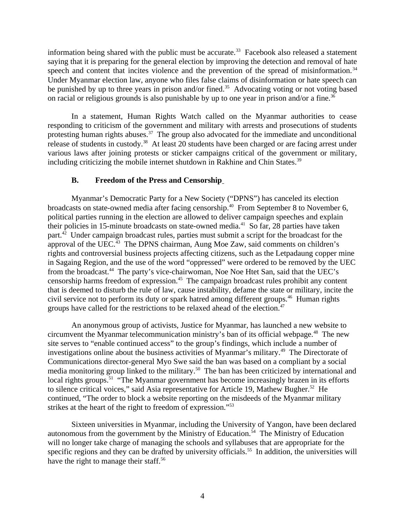information being shared with the public must be accurate.<sup>33</sup> Facebook also released a statement saying that it is preparing for the general election by improving the detection and removal of hate speech and content that incites violence and the prevention of the spread of misinformation.<sup>34</sup> Under Myanmar election law, anyone who files false claims of disinformation or hate speech can be punished by up to three years in prison and/or fined.<sup>35</sup> Advocating voting or not voting based on racial or religious grounds is also punishable by up to one year in prison and/or a fine. $36$ 

In a statement, Human Rights Watch called on the Myanmar authorities to cease responding to criticism of the government and military with arrests and prosecutions of students protesting human rights abuses.<sup>37</sup> The group also advocated for the immediate and unconditional release of students in custody.<sup>38</sup> At least 20 students have been charged or are facing arrest under various laws after joining protests or sticker campaigns critical of the government or military, including criticizing the mobile internet shutdown in Rakhine and Chin States.<sup>39</sup>

### <span id="page-3-0"></span>**B. Freedom of the Press and Censorship**

Myanmar's Democratic Party for a New Society ("DPNS") has canceled its election broadcasts on state-owned media after facing censorship.<sup>40</sup> From September 8 to November 6, political parties running in the election are allowed to deliver campaign speeches and explain their policies in 15-minute broadcasts on state-owned media.<sup>41</sup> So far, 28 parties have taken part.<sup>42</sup> Under campaign broadcast rules, parties must submit a script for the broadcast for the approval of the UEC.<sup>43</sup> The DPNS chairman, Aung Moe Zaw, said comments on children's rights and controversial business projects affecting citizens, such as the Letpadaung copper mine in Sagaing Region, and the use of the word "oppressed" were ordered to be removed by the UEC from the broadcast.<sup>44</sup> The party's vice-chairwoman, Noe Noe Htet San, said that the UEC's censorship harms freedom of expression.<sup>45</sup> The campaign broadcast rules prohibit any content that is deemed to disturb the rule of law, cause instability, defame the state or military, incite the civil service not to perform its duty or spark hatred among different groups.<sup>46</sup> Human rights groups have called for the restrictions to be relaxed ahead of the election.<sup>47</sup>

An anonymous group of activists, Justice for Myanmar, has launched a new website to circumvent the Myanmar telecommunication ministry's ban of its official webpage.<sup>48</sup> The new site serves to "enable continued access" to the group's findings, which include a number of investigations online about the business activities of Myanmar's military.<sup>49</sup> The Directorate of Communications director-general Myo Swe said the ban was based on a compliant by a social media monitoring group linked to the military.<sup>50</sup> The ban has been criticized by international and local rights groups.<sup>51</sup> "The Myanmar government has become increasingly brazen in its efforts to silence critical voices," said Asia representative for Article 19, Mathew Bugher.<sup>52</sup> He continued, "The order to block a website reporting on the misdeeds of the Myanmar military strikes at the heart of the right to freedom of expression."<sup>53</sup>

Sixteen universities in Myanmar, including the University of Yangon, have been declared autonomous from the government by the Ministry of Education.<sup>54</sup> The Ministry of Education will no longer take charge of managing the schools and syllabuses that are appropriate for the specific regions and they can be drafted by university officials.<sup>55</sup> In addition, the universities will have the right to manage their staff.<sup>56</sup>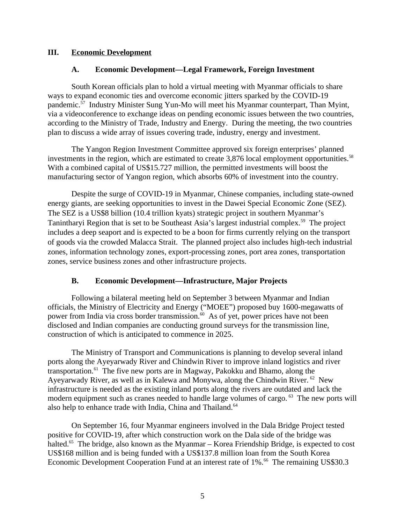### **III. Economic Development**

### <span id="page-4-2"></span><span id="page-4-1"></span>**A. Economic Development—Legal Framework, Foreign Investment**

South Korean officials plan to hold a virtual meeting with Myanmar officials to share ways to expand economic ties and overcome economic jitters sparked by the COVID-19 pandemic.<sup>57</sup> Industry Minister Sung Yun-Mo will meet his Myanmar counterpart, Than Myint, via a videoconference to exchange ideas on pending economic issues between the two countries, according to the Ministry of Trade, Industry and Energy. During the meeting, the two countries plan to discuss a wide array of issues covering trade, industry, energy and investment.

The Yangon Region Investment Committee approved six foreign enterprises' planned investments in the region, which are estimated to create 3,876 local employment opportunities.<sup>58</sup> With a combined capital of US\$15.727 million, the permitted investments will boost the manufacturing sector of Yangon region, which absorbs 60% of investment into the country.

Despite the surge of COVID-19 in Myanmar, Chinese companies, including state-owned energy giants, are seeking opportunities to invest in the Dawei Special Economic Zone (SEZ). The SEZ is a US\$8 billion (10.4 trillion kyats) strategic project in southern Myanmar's Tanintharyi Region that is set to be Southeast Asia's largest industrial complex.<sup>59</sup> The project includes a deep seaport and is expected to be a boon for firms currently relying on the transport of goods via the crowded Malacca Strait. The planned project also includes high-tech industrial zones, information technology zones, export-processing zones, port area zones, transportation zones, service business zones and other infrastructure projects.

# <span id="page-4-0"></span>**B. Economic Development—Infrastructure, Major Projects**

Following a bilateral meeting held on September 3 between Myanmar and Indian officials, the Ministry of Electricity and Energy ("MOEE") proposed buy 1600-megawatts of power from India via cross border transmission. $60$  As of yet, power prices have not been disclosed and Indian companies are conducting ground surveys for the transmission line, construction of which is anticipated to commence in 2025.

The Ministry of Transport and Communications is planning to develop several inland ports along the Ayeyarwady River and Chindwin River to improve inland logistics and river transportation. $61$  The five new ports are in Magway, Pakokku and Bhamo, along the Ayeyarwady River, as well as in Kalewa and Monywa, along the Chindwin River. <sup>62</sup> New infrastructure is needed as the existing inland ports along the rivers are outdated and lack the modern equipment such as cranes needed to handle large volumes of cargo. <sup>63</sup> The new ports will also help to enhance trade with India, China and Thailand.<sup>64</sup>

On September 16, four Myanmar engineers involved in the Dala Bridge Project tested positive for COVID-19, after which construction work on the Dala side of the bridge was halted.<sup>65</sup> The bridge, also known as the Myanmar – Korea Friendship Bridge, is expected to cost US\$168 million and is being funded with a US\$137.8 million loan from the South Korea Economic Development Cooperation Fund at an interest rate of 1%.<sup>66</sup> The remaining US\$30.3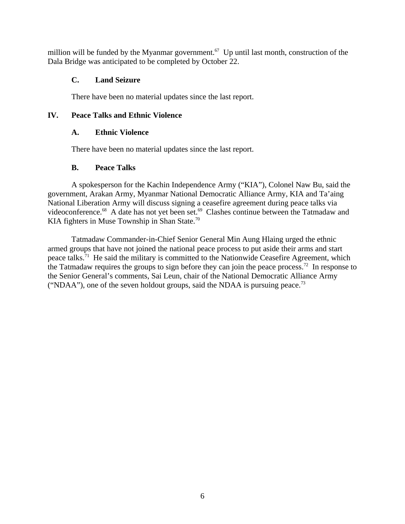million will be funded by the Myanmar government.<sup>67</sup> Up until last month, construction of the Dala Bridge was anticipated to be completed by October 22.

### <span id="page-5-3"></span>**C. Land Seizure**

<span id="page-5-2"></span>There have been no material updates since the last report.

### **IV. Peace Talks and Ethnic Violence**

### <span id="page-5-1"></span>**A. Ethnic Violence**

There have been no material updates since the last report.

### <span id="page-5-0"></span>**B. Peace Talks**

A spokesperson for the Kachin Independence Army ("KIA"), Colonel Naw Bu, said the government, Arakan Army, Myanmar National Democratic Alliance Army, KIA and Ta'aing National Liberation Army will discuss signing a ceasefire agreement during peace talks via videoconference.<sup>68</sup> A date has not yet been set.<sup>69</sup> Clashes continue between the Tatmadaw and KIA fighters in Muse Township in Shan State.<sup>70</sup>

Tatmadaw Commander-in-Chief Senior General Min Aung Hlaing urged the ethnic armed groups that have not joined the national peace process to put aside their arms and start peace talks.<sup>71</sup> He said the military is committed to the Nationwide Ceasefire Agreement, which the Tatmadaw requires the groups to sign before they can join the peace process.<sup>72</sup> In response to the Senior General's comments, Sai Leun, chair of the National Democratic Alliance Army ("NDAA"), one of the seven holdout groups, said the NDAA is pursuing peace.<sup>73</sup>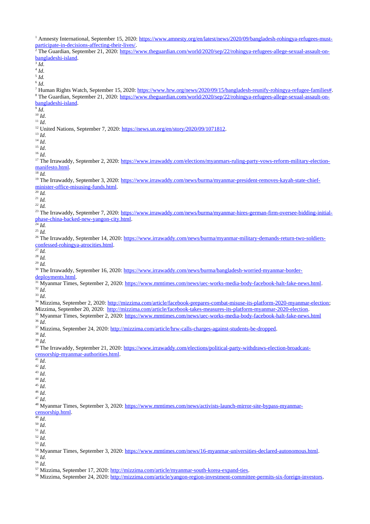<sup>1</sup> Amnesty International, September 15, 2020: [https://www.amnesty.org/en/latest/news/2020/09/bangladesh-rohingya-refugees-must](https://www.amnesty.org/en/latest/news/2020/09/bangladesh-rohingya-refugees-must-participate-in-decisions-affecting-their-lives/)[participate-in-decisions-affecting-their-lives/.](https://www.amnesty.org/en/latest/news/2020/09/bangladesh-rohingya-refugees-must-participate-in-decisions-affecting-their-lives/) <sup>2</sup> The Guardian, September 21, 2020: [https://www.theguardian.com/world/2020/sep/22/rohingya-refugees-allege-sexual-assault-on](https://www.theguardian.com/world/2020/sep/22/rohingya-refugees-allege-sexual-assault-on-bangladeshi-island)[bangladeshi-island.](https://www.theguardian.com/world/2020/sep/22/rohingya-refugees-allege-sexual-assault-on-bangladeshi-island) 3 *Id*.

4 *Id*.

5 *Id.*

6 *Id*.

<sup>7</sup> Human Rights Watch, September 15, 2020: [https://www.hrw.org/news/2020/09/15/bangladesh-reunify-rohingya-refugee-families#.](https://www.hrw.org/news/2020/09/15/bangladesh-reunify-rohingya-refugee-families) <sup>8</sup> The Guardian, September 21, 2020: <u>https://www.theguardian.com/world/2020/sep/22/rohingya-refugees-allege-sexual-assault-on-</u> [bangladeshi-island.](https://www.theguardian.com/world/2020/sep/22/rohingya-refugees-allege-sexual-assault-on-bangladeshi-island)

9 *Id*.

<sup>10</sup> *Id*. <sup>11</sup> *Id*.

<sup>12</sup> United Nations, September 7, 2020: [https://news.un.org/en/story/2020/09/1071812.](https://news.un.org/en/story/2020/09/1071812)

<sup>13</sup> *Id*.

 $^{14}$  *Id.* 

 $^{15}$  *Id.* 

<sup>16</sup> *Id*.

<sup>17</sup> The Irrawaddy, September 2, 2020: [https://www.irrawaddy.com/elections/myanmars-ruling-party-vows-reform-military-election](https://www.irrawaddy.com/elections/myanmars-ruling-party-vows-reform-military-election-manifesto.html)[manifesto.html.](https://www.irrawaddy.com/elections/myanmars-ruling-party-vows-reform-military-election-manifesto.html)

 $\overline{\phantom{a}^{18}}Id.$ 

<sup>19</sup> The Irrawaddy, September 3, 2020: [https://www.irrawaddy.com/news/burma/myanmar-president-removes-kayah-state-chief](https://www.irrawaddy.com/news/burma/myanmar-president-removes-kayah-state-chief-minister-office-misusing-funds.html)[minister-office-misusing-funds.html.](https://www.irrawaddy.com/news/burma/myanmar-president-removes-kayah-state-chief-minister-office-misusing-funds.html)

 $\overline{^{20}}$  *Id.* 

<sup>21</sup> *Id.*

<sup>22</sup> *Id.*

<sup>23</sup> The Irrawaddy, September 7, 2020: [https://www.irrawaddy.com/news/burma/myanmar-hires-german-firm-oversee-bidding-initial](https://www.irrawaddy.com/news/burma/myanmar-hires-german-firm-oversee-bidding-initial-phase-china-backed-new-yangon-city.html)[phase-china-backed-new-yangon-city.html.](https://www.irrawaddy.com/news/burma/myanmar-hires-german-firm-oversee-bidding-initial-phase-china-backed-new-yangon-city.html)

 $^{24}$  *Id.* <sup>25</sup> *Id.*

<sup>26</sup> The Irrawaddy, September 14, 2020: [https://www.irrawaddy.com/news/burma/myanmar-military-demands-return-two-soldiers](https://www.irrawaddy.com/news/burma/myanmar-military-demands-return-two-soldiers-confessed-rohingya-atrocities.html)[confessed-rohingya-atrocities.html.](https://www.irrawaddy.com/news/burma/myanmar-military-demands-return-two-soldiers-confessed-rohingya-atrocities.html)

 $\frac{27}{27}$  *Id.* 

<sup>28</sup> *Id.* <sup>29</sup> *Id.*

<sup>30</sup> The Irrawaddy, September 16, 2020: [https://www.irrawaddy.com/news/burma/bangladesh-worried-myanmar-border](https://www.irrawaddy.com/news/burma/bangladesh-worried-myanmar-border-deployments.html)[deployments.html.](https://www.irrawaddy.com/news/burma/bangladesh-worried-myanmar-border-deployments.html)

<sup>31</sup> Myanmar Times, September 2, 2020: [https://www.mmtimes.com/news/uec-works-media-body-facebook-halt-fake-news.html.](https://www.mmtimes.com/news/uec-works-media-body-facebook-halt-fake-news.html) <sup>32</sup> *Id*.

<sup>33</sup> *Id*.

<sup>34</sup> Mizzima, September 2, 2020: [http://mizzima.com/article/facebook-prepares-combat-misuse-its-platform-2020-myanmar-election;](http://mizzima.com/article/facebook-prepares-combat-misuse-its-platform-2020-myanmar-election) Mizzima, September 20, 2020: [http://mizzima.com/article/facebook-takes-measures-its-platform-myanmar-2020-election.](http://mizzima.com/article/facebook-takes-measures-its-platform-myanmar-2020-election) <sup>35</sup> Myanmar Times, September 2, 2020:<https://www.mmtimes.com/news/uec-works-media-body-facebook-halt-fake-news.html> <sup>36</sup> *Id*.

<sup>37</sup> Mizzima, September 24, 2020: [http://mizzima.com/article/hrw-calls-charges-against-students-be-dropped.](http://mizzima.com/article/hrw-calls-charges-against-students-be-dropped)

<sup>38</sup> *Id*.

<sup>39</sup> *Id*.

<sup>40</sup> The Irrawaddy, September 21, 2020: [https://www.irrawaddy.com/elections/political-party-withdraws-election-broadcast](https://www.irrawaddy.com/elections/political-party-withdraws-election-broadcast-censorship-myanmar-authorities.html)[censorship-myanmar-authorities.html.](https://www.irrawaddy.com/elections/political-party-withdraws-election-broadcast-censorship-myanmar-authorities.html)

 $\overline{41}$  *Id.* 

<sup>42</sup> *Id*. <sup>43</sup> *Id*.

<sup>44</sup> *Id*.

<sup>45</sup> *Id*.

<sup>46</sup> *Id*.

<sup>47</sup> *Id*.

<sup>48</sup> Myanmar Times, September 3, 2020: [https://www.mmtimes.com/news/activists-launch-mirror-site-bypass-myanmar](https://www.mmtimes.com/news/activists-launch-mirror-site-bypass-myanmar-censorship.html)[censorship.html.](https://www.mmtimes.com/news/activists-launch-mirror-site-bypass-myanmar-censorship.html)

<sup>49</sup> *Id*.

<sup>50</sup> *Id*.

<sup>51</sup> *Id*. <sup>52</sup> *Id*.

<sup>53</sup> *Id*.

54 Myanmar Times, September 3, 2020: [https://www.mmtimes.com/news/16-myanmar-universities-declared-autonomous.html.](https://www.mmtimes.com/news/16-myanmar-universities-declared-autonomous.html) <sup>55</sup> *Id*.

<sup>56</sup> *Id*.

<sup>57</sup> Mizzima, September 17, 2020: [http://mizzima.com/article/myanmar-south-korea-expand-ties.](http://mizzima.com/article/myanmar-south-korea-expand-ties)

58 Mizzima, September 24, 2020: [http://mizzima.com/article/yangon-region-investment-committee-permits-six-foreign-investors.](http://mizzima.com/article/yangon-region-investment-committee-permits-six-foreign-investors)